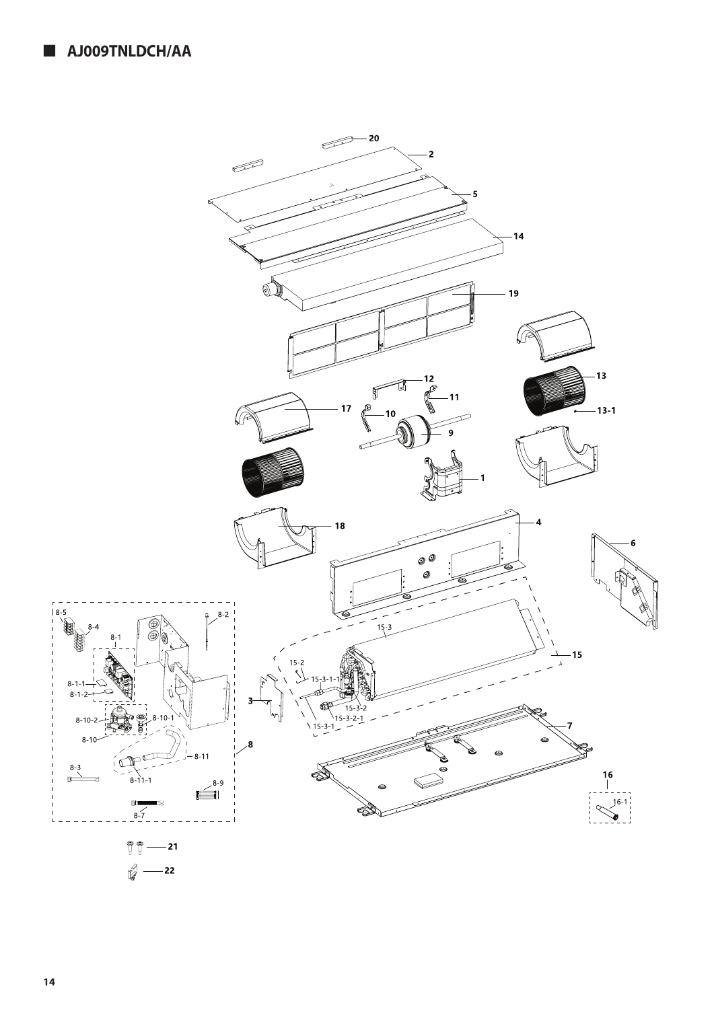